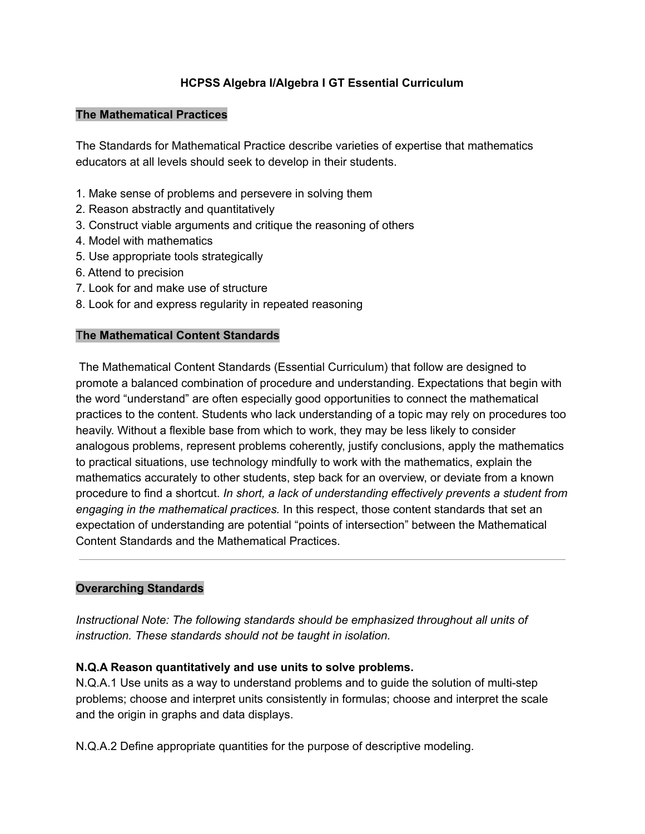### **HCPSS Algebra I/Algebra I GT Essential Curriculum**

#### **The Mathematical Practices**

The Standards for Mathematical Practice describe varieties of expertise that mathematics educators at all levels should seek to develop in their students.

- 1. Make sense of problems and persevere in solving them
- 2. Reason abstractly and quantitatively
- 3. Construct viable arguments and critique the reasoning of others
- 4. Model with mathematics
- 5. Use appropriate tools strategically
- 6. Attend to precision
- 7. Look for and make use of structure
- 8. Look for and express regularity in repeated reasoning

### T**he Mathematical Content Standards**

The Mathematical Content Standards (Essential Curriculum) that follow are designed to promote a balanced combination of procedure and understanding. Expectations that begin with the word "understand" are often especially good opportunities to connect the mathematical practices to the content. Students who lack understanding of a topic may rely on procedures too heavily. Without a flexible base from which to work, they may be less likely to consider analogous problems, represent problems coherently, justify conclusions, apply the mathematics to practical situations, use technology mindfully to work with the mathematics, explain the mathematics accurately to other students, step back for an overview, or deviate from a known procedure to find a shortcut. *In short, a lack of understanding effectively prevents a student from engaging in the mathematical practices.* In this respect, those content standards that set an expectation of understanding are potential "points of intersection" between the Mathematical Content Standards and the Mathematical Practices.

### **Overarching Standards**

*Instructional Note: The following standards should be emphasized throughout all units of instruction. These standards should not be taught in isolation.*

### **N.Q.A Reason quantitatively and use units to solve problems.**

N.Q.A.1 Use units as a way to understand problems and to guide the solution of multi-step problems; choose and interpret units consistently in formulas; choose and interpret the scale and the origin in graphs and data displays.

N.Q.A.2 Define appropriate quantities for the purpose of descriptive modeling.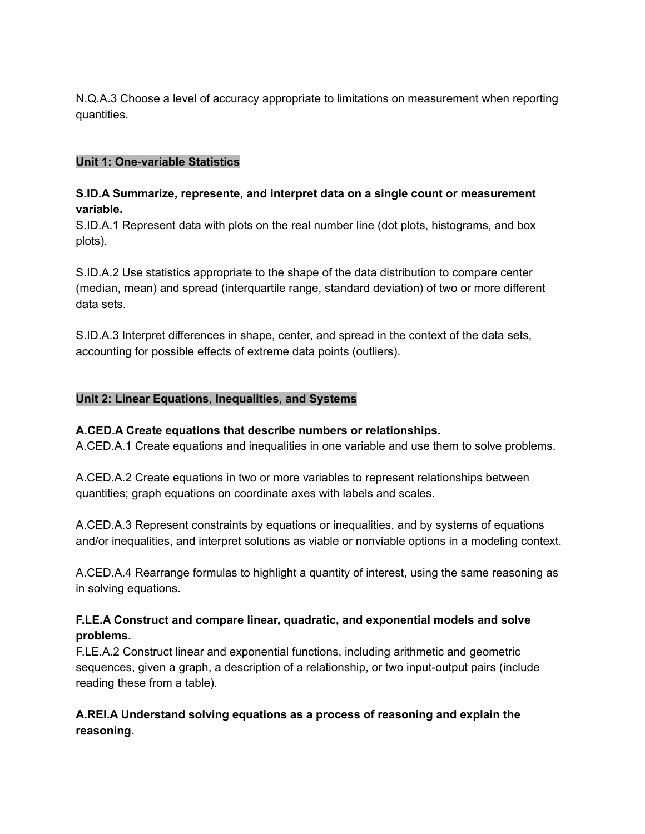N.Q.A.3 Choose a level of accuracy appropriate to limitations on measurement when reporting quantities.

### **Unit 1: One-variable Statistics**

#### **S.ID.A Summarize, represente, and interpret data on a single count or measurement variable.**

S.ID.A.1 Represent data with plots on the real number line (dot plots, histograms, and box plots).

S.ID.A.2 Use statistics appropriate to the shape of the data distribution to compare center (median, mean) and spread (interquartile range, standard deviation) of two or more different data sets.

S.ID.A.3 Interpret differences in shape, center, and spread in the context of the data sets, accounting for possible effects of extreme data points (outliers).

#### **Unit 2: Linear Equations, Inequalities, and Systems**

#### **A.CED.A Create equations that describe numbers or relationships.**

A.CED.A.1 Create equations and inequalities in one variable and use them to solve problems.

A.CED.A.2 Create equations in two or more variables to represent relationships between quantities; graph equations on coordinate axes with labels and scales.

A.CED.A.3 Represent constraints by equations or inequalities, and by systems of equations and/or inequalities, and interpret solutions as viable or nonviable options in a modeling context.

A.CED.A.4 Rearrange formulas to highlight a quantity of interest, using the same reasoning as in solving equations.

### **F.LE.A Construct and compare linear, quadratic, and exponential models and solve problems.**

F.LE.A.2 Construct linear and exponential functions, including arithmetic and geometric sequences, given a graph, a description of a relationship, or two input-output pairs (include reading these from a table).

## **A.REI.A Understand solving equations as a process of reasoning and explain the reasoning.**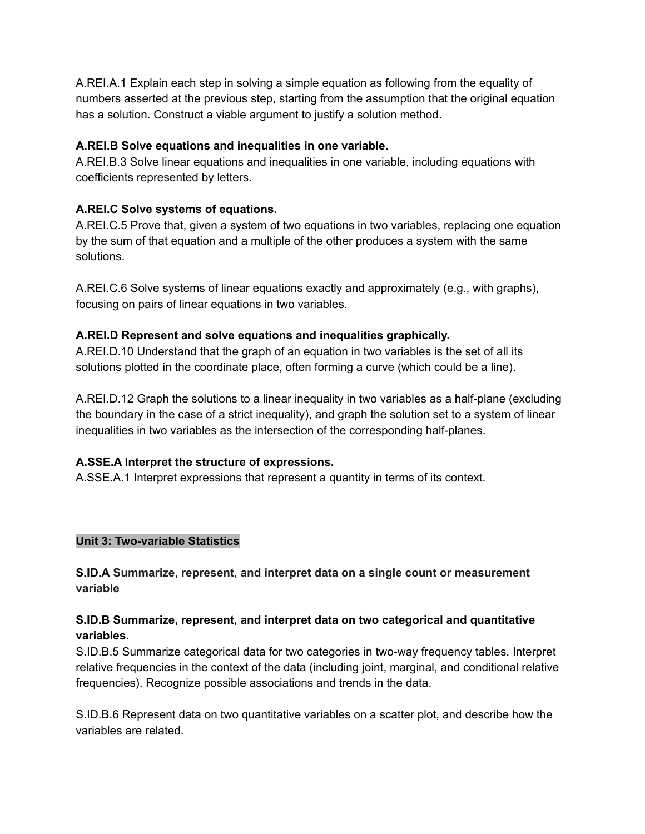A.REI.A.1 Explain each step in solving a simple equation as following from the equality of numbers asserted at the previous step, starting from the assumption that the original equation has a solution. Construct a viable argument to justify a solution method.

### **A.REI.B Solve equations and inequalities in one variable.**

A.REI.B.3 Solve linear equations and inequalities in one variable, including equations with coefficients represented by letters.

# **A.REI.C Solve systems of equations.**

A.REI.C.5 Prove that, given a system of two equations in two variables, replacing one equation by the sum of that equation and a multiple of the other produces a system with the same solutions.

A.REI.C.6 Solve systems of linear equations exactly and approximately (e.g., with graphs), focusing on pairs of linear equations in two variables.

## **A.REI.D Represent and solve equations and inequalities graphically.**

A.REI.D.10 Understand that the graph of an equation in two variables is the set of all its solutions plotted in the coordinate place, often forming a curve (which could be a line).

A.REI.D.12 Graph the solutions to a linear inequality in two variables as a half-plane (excluding the boundary in the case of a strict inequality), and graph the solution set to a system of linear inequalities in two variables as the intersection of the corresponding half-planes.

# **A.SSE.A Interpret the structure of expressions.**

A.SSE.A.1 Interpret expressions that represent a quantity in terms of its context.

# **Unit 3: Two-variable Statistics**

**S.ID.A Summarize, represent, and interpret data on a single count or measurement variable**

## **S.ID.B Summarize, represent, and interpret data on two categorical and quantitative variables.**

S.ID.B.5 Summarize categorical data for two categories in two-way frequency tables. Interpret relative frequencies in the context of the data (including joint, marginal, and conditional relative frequencies). Recognize possible associations and trends in the data.

S.ID.B.6 Represent data on two quantitative variables on a scatter plot, and describe how the variables are related.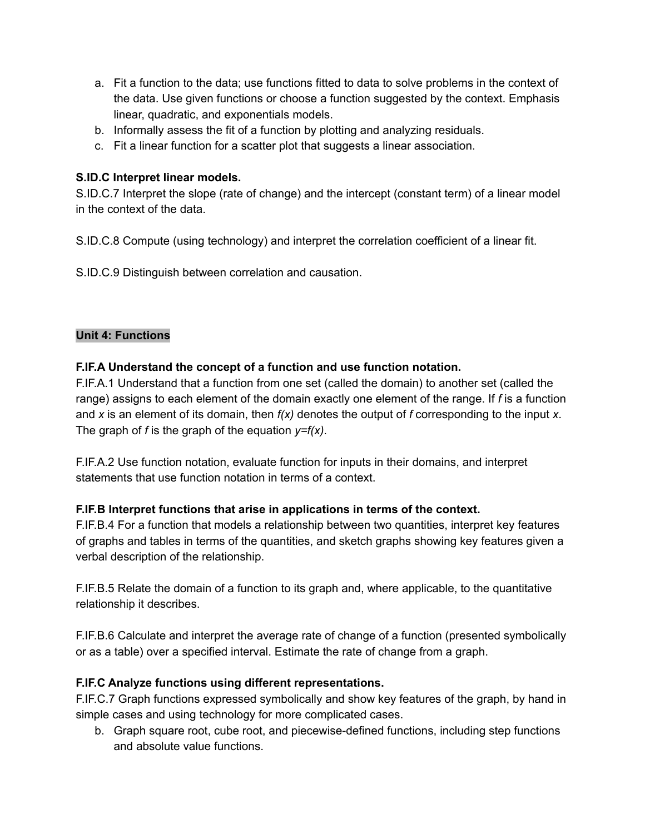- a. Fit a function to the data; use functions fitted to data to solve problems in the context of the data. Use given functions or choose a function suggested by the context. Emphasis linear, quadratic, and exponentials models.
- b. Informally assess the fit of a function by plotting and analyzing residuals.
- c. Fit a linear function for a scatter plot that suggests a linear association.

## **S.ID.C Interpret linear models.**

S.ID.C.7 Interpret the slope (rate of change) and the intercept (constant term) of a linear model in the context of the data.

S.ID.C.8 Compute (using technology) and interpret the correlation coefficient of a linear fit.

S.ID.C.9 Distinguish between correlation and causation.

### **Unit 4: Functions**

### **F.IF.A Understand the concept of a function and use function notation.**

F.IF.A.1 Understand that a function from one set (called the domain) to another set (called the range) assigns to each element of the domain exactly one element of the range. If *f* is a function and *x* is an element of its domain, then *f(x)* denotes the output of *f* corresponding to the input *x*. The graph of *f* is the graph of the equation *y=f(x)*.

F.IF.A.2 Use function notation, evaluate function for inputs in their domains, and interpret statements that use function notation in terms of a context.

### **F.IF.B Interpret functions that arise in applications in terms of the context.**

F.IF.B.4 For a function that models a relationship between two quantities, interpret key features of graphs and tables in terms of the quantities, and sketch graphs showing key features given a verbal description of the relationship.

F.IF.B.5 Relate the domain of a function to its graph and, where applicable, to the quantitative relationship it describes.

F.IF.B.6 Calculate and interpret the average rate of change of a function (presented symbolically or as a table) over a specified interval. Estimate the rate of change from a graph.

# **F.IF.C Analyze functions using different representations.**

F.IF.C.7 Graph functions expressed symbolically and show key features of the graph, by hand in simple cases and using technology for more complicated cases.

b. Graph square root, cube root, and piecewise-defined functions, including step functions and absolute value functions.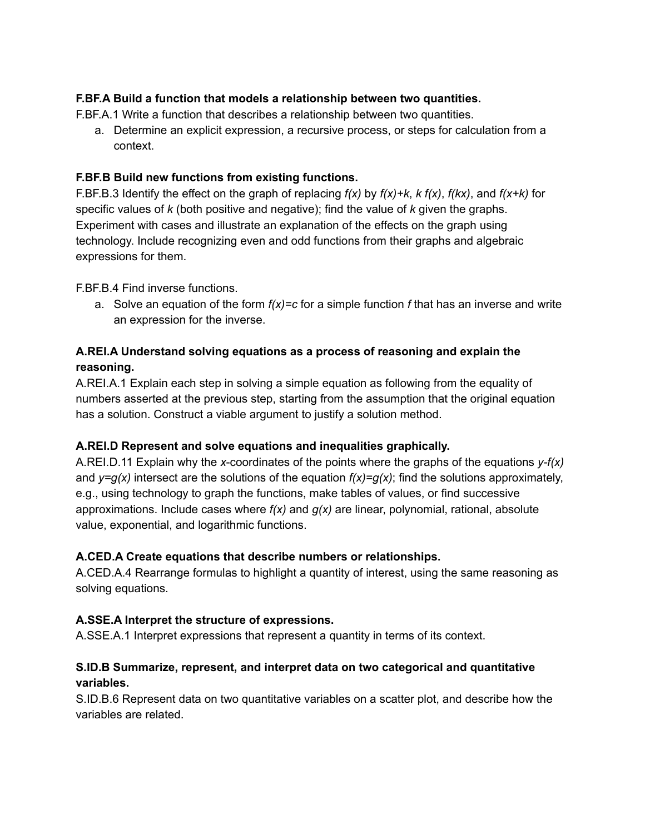## **F.BF.A Build a function that models a relationship between two quantities.**

F.BF.A.1 Write a function that describes a relationship between two quantities.

a. Determine an explicit expression, a recursive process, or steps for calculation from a context.

#### **F.BF.B Build new functions from existing functions.**

F.BF.B.3 Identify the effect on the graph of replacing *f(x)* by *f(x)+k*, *k f(x)*, *f(kx)*, and *f(x+k)* for specific values of *k* (both positive and negative); find the value of *k* given the graphs. Experiment with cases and illustrate an explanation of the effects on the graph using technology. Include recognizing even and odd functions from their graphs and algebraic expressions for them.

#### F.BF.B.4 Find inverse functions.

a. Solve an equation of the form *f(x)=c* for a simple function *f* that has an inverse and write an expression for the inverse.

## **A.REI.A Understand solving equations as a process of reasoning and explain the reasoning.**

A.REI.A.1 Explain each step in solving a simple equation as following from the equality of numbers asserted at the previous step, starting from the assumption that the original equation has a solution. Construct a viable argument to justify a solution method.

### **A.REI.D Represent and solve equations and inequalities graphically.**

A.REI.D.11 Explain why the *x*-coordinates of the points where the graphs of the equations *y-f(x)* and  $y=q(x)$  intersect are the solutions of the equation  $f(x)=q(x)$ ; find the solutions approximately, e.g., using technology to graph the functions, make tables of values, or find successive approximations. Include cases where *f(x)* and *g(x)* are linear, polynomial, rational, absolute value, exponential, and logarithmic functions.

#### **A.CED.A Create equations that describe numbers or relationships.**

A.CED.A.4 Rearrange formulas to highlight a quantity of interest, using the same reasoning as solving equations.

### **A.SSE.A Interpret the structure of expressions.**

A.SSE.A.1 Interpret expressions that represent a quantity in terms of its context.

### **S.ID.B Summarize, represent, and interpret data on two categorical and quantitative variables.**

S.ID.B.6 Represent data on two quantitative variables on a scatter plot, and describe how the variables are related.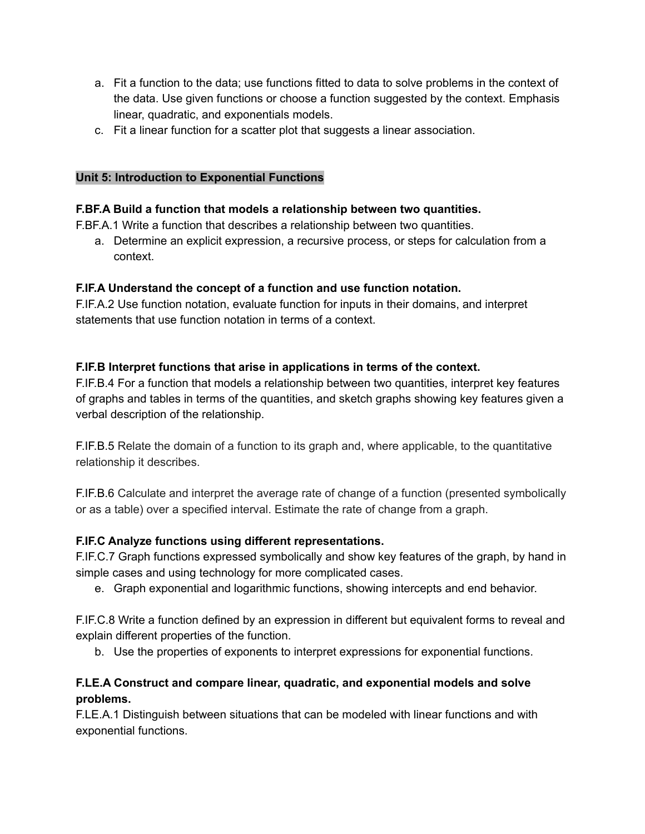- a. Fit a function to the data; use functions fitted to data to solve problems in the context of the data. Use given functions or choose a function suggested by the context. Emphasis linear, quadratic, and exponentials models.
- c. Fit a linear function for a scatter plot that suggests a linear association.

### **Unit 5: Introduction to Exponential Functions**

#### **F.BF.A Build a function that models a relationship between two quantities.**

F.BF.A.1 Write a function that describes a relationship between two quantities.

a. Determine an explicit expression, a recursive process, or steps for calculation from a context.

### **F.IF.A Understand the concept of a function and use function notation.**

F.IF.A.2 Use function notation, evaluate function for inputs in their domains, and interpret statements that use function notation in terms of a context.

#### **F.IF.B Interpret functions that arise in applications in terms of the context.**

F.IF.B.4 For a function that models a relationship between two quantities, interpret key features of graphs and tables in terms of the quantities, and sketch graphs showing key features given a verbal description of the relationship.

F.IF.B.5 Relate the domain of a function to its graph and, where applicable, to the quantitative relationship it describes.

F.IF.B.6 Calculate and interpret the average rate of change of a function (presented symbolically or as a table) over a specified interval. Estimate the rate of change from a graph.

### **F.IF.C Analyze functions using different representations.**

F.IF.C.7 Graph functions expressed symbolically and show key features of the graph, by hand in simple cases and using technology for more complicated cases.

e. Graph exponential and logarithmic functions, showing intercepts and end behavior.

F.IF.C.8 Write a function defined by an expression in different but equivalent forms to reveal and explain different properties of the function.

b. Use the properties of exponents to interpret expressions for exponential functions.

## **F.LE.A Construct and compare linear, quadratic, and exponential models and solve problems.**

F.LE.A.1 Distinguish between situations that can be modeled with linear functions and with exponential functions.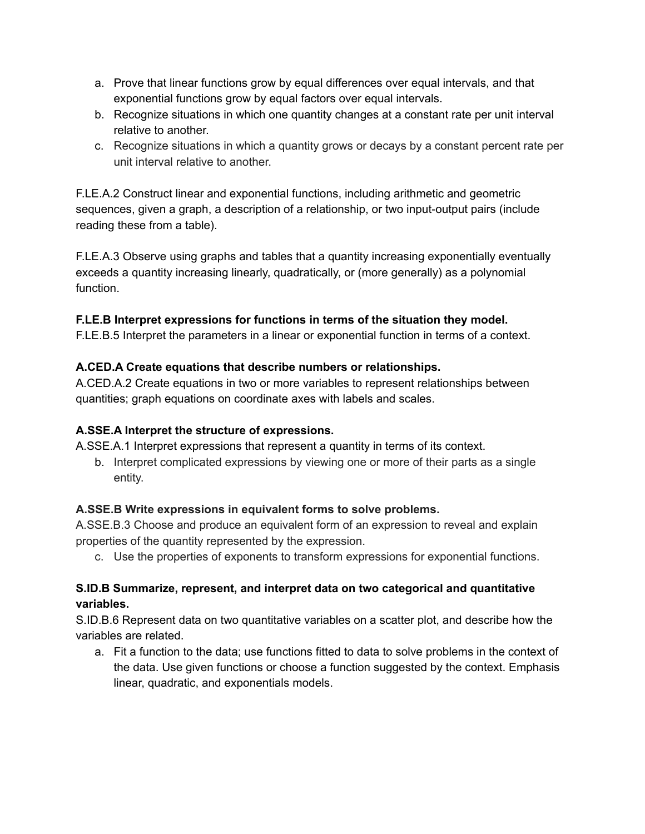- a. Prove that linear functions grow by equal differences over equal intervals, and that exponential functions grow by equal factors over equal intervals.
- b. Recognize situations in which one quantity changes at a constant rate per unit interval relative to another.
- c. Recognize situations in which a quantity grows or decays by a constant percent rate per unit interval relative to another.

F.LE.A.2 Construct linear and exponential functions, including arithmetic and geometric sequences, given a graph, a description of a relationship, or two input-output pairs (include reading these from a table).

F.LE.A.3 Observe using graphs and tables that a quantity increasing exponentially eventually exceeds a quantity increasing linearly, quadratically, or (more generally) as a polynomial function.

# **F.LE.B Interpret expressions for functions in terms of the situation they model.**

F.LE.B.5 Interpret the parameters in a linear or exponential function in terms of a context.

## **A.CED.A Create equations that describe numbers or relationships.**

A.CED.A.2 Create equations in two or more variables to represent relationships between quantities; graph equations on coordinate axes with labels and scales.

# **A.SSE.A Interpret the structure of expressions.**

A.SSE.A.1 Interpret expressions that represent a quantity in terms of its context.

b. Interpret complicated expressions by viewing one or more of their parts as a single entity.

# **A.SSE.B Write expressions in equivalent forms to solve problems.**

A.SSE.B.3 Choose and produce an equivalent form of an expression to reveal and explain properties of the quantity represented by the expression.

c. Use the properties of exponents to transform expressions for exponential functions.

# **S.ID.B Summarize, represent, and interpret data on two categorical and quantitative variables.**

S.ID.B.6 Represent data on two quantitative variables on a scatter plot, and describe how the variables are related.

a. Fit a function to the data; use functions fitted to data to solve problems in the context of the data. Use given functions or choose a function suggested by the context. Emphasis linear, quadratic, and exponentials models.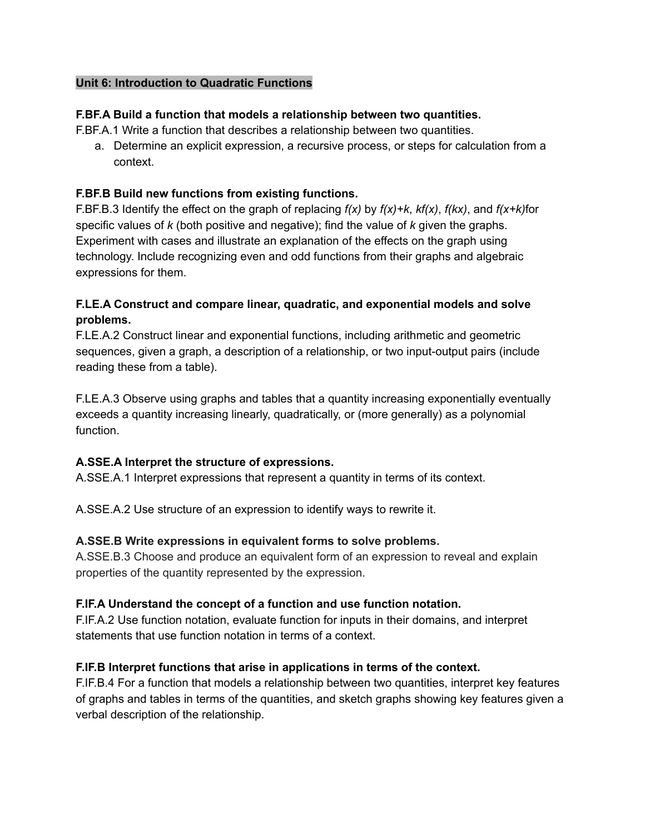#### **Unit 6: Introduction to Quadratic Functions**

#### **F.BF.A Build a function that models a relationship between two quantities.**

F.BF.A.1 Write a function that describes a relationship between two quantities.

a. Determine an explicit expression, a recursive process, or steps for calculation from a context.

#### **F.BF.B Build new functions from existing functions.**

F.BF.B.3 Identify the effect on the graph of replacing *f(x)* by *f(x)+k*, *kf(x)*, *f(kx)*, and *f(x+k)*for specific values of *k* (both positive and negative); find the value of *k* given the graphs. Experiment with cases and illustrate an explanation of the effects on the graph using technology. Include recognizing even and odd functions from their graphs and algebraic expressions for them.

### **F.LE.A Construct and compare linear, quadratic, and exponential models and solve problems.**

F.LE.A.2 Construct linear and exponential functions, including arithmetic and geometric sequences, given a graph, a description of a relationship, or two input-output pairs (include reading these from a table).

F.LE.A.3 Observe using graphs and tables that a quantity increasing exponentially eventually exceeds a quantity increasing linearly, quadratically, or (more generally) as a polynomial function.

### **A.SSE.A Interpret the structure of expressions.**

A.SSE.A.1 Interpret expressions that represent a quantity in terms of its context.

A.SSE.A.2 Use structure of an expression to identify ways to rewrite it.

#### **A.SSE.B Write expressions in equivalent forms to solve problems.**

A.SSE.B.3 Choose and produce an equivalent form of an expression to reveal and explain properties of the quantity represented by the expression.

### **F.IF.A Understand the concept of a function and use function notation.**

F.IF.A.2 Use function notation, evaluate function for inputs in their domains, and interpret statements that use function notation in terms of a context.

### **F.IF.B Interpret functions that arise in applications in terms of the context.**

F.IF.B.4 For a function that models a relationship between two quantities, interpret key features of graphs and tables in terms of the quantities, and sketch graphs showing key features given a verbal description of the relationship.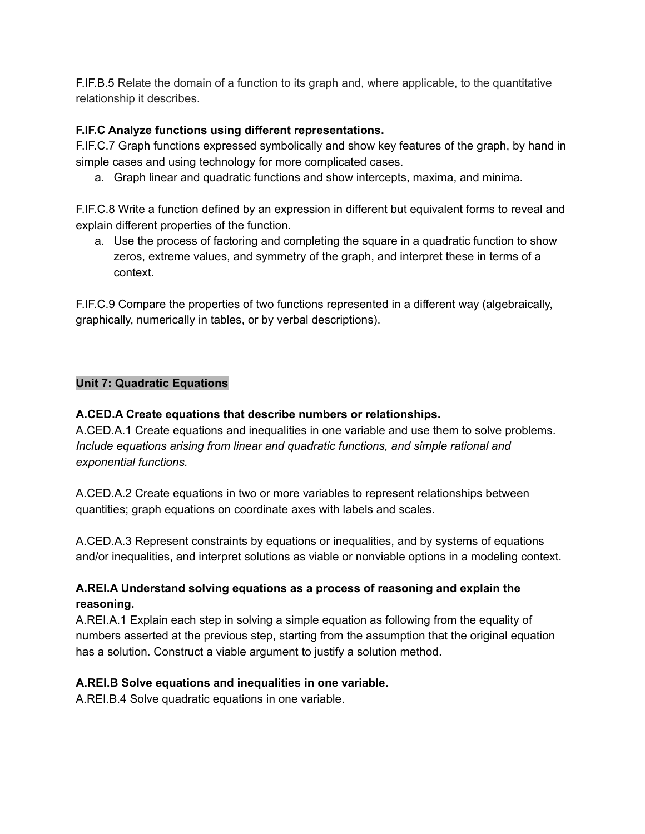F.IF.B.5 Relate the domain of a function to its graph and, where applicable, to the quantitative relationship it describes.

## **F.IF.C Analyze functions using different representations.**

F.IF.C.7 Graph functions expressed symbolically and show key features of the graph, by hand in simple cases and using technology for more complicated cases.

a. Graph linear and quadratic functions and show intercepts, maxima, and minima.

F.IF.C.8 Write a function defined by an expression in different but equivalent forms to reveal and explain different properties of the function.

a. Use the process of factoring and completing the square in a quadratic function to show zeros, extreme values, and symmetry of the graph, and interpret these in terms of a context.

F.IF.C.9 Compare the properties of two functions represented in a different way (algebraically, graphically, numerically in tables, or by verbal descriptions).

### **Unit 7: Quadratic Equations**

## **A.CED.A Create equations that describe numbers or relationships.**

A.CED.A.1 Create equations and inequalities in one variable and use them to solve problems. *Include equations arising from linear and quadratic functions, and simple rational and exponential functions.*

A.CED.A.2 Create equations in two or more variables to represent relationships between quantities; graph equations on coordinate axes with labels and scales.

A.CED.A.3 Represent constraints by equations or inequalities, and by systems of equations and/or inequalities, and interpret solutions as viable or nonviable options in a modeling context.

# **A.REI.A Understand solving equations as a process of reasoning and explain the reasoning.**

A.REI.A.1 Explain each step in solving a simple equation as following from the equality of numbers asserted at the previous step, starting from the assumption that the original equation has a solution. Construct a viable argument to justify a solution method.

### **A.REI.B Solve equations and inequalities in one variable.**

A.REI.B.4 Solve quadratic equations in one variable.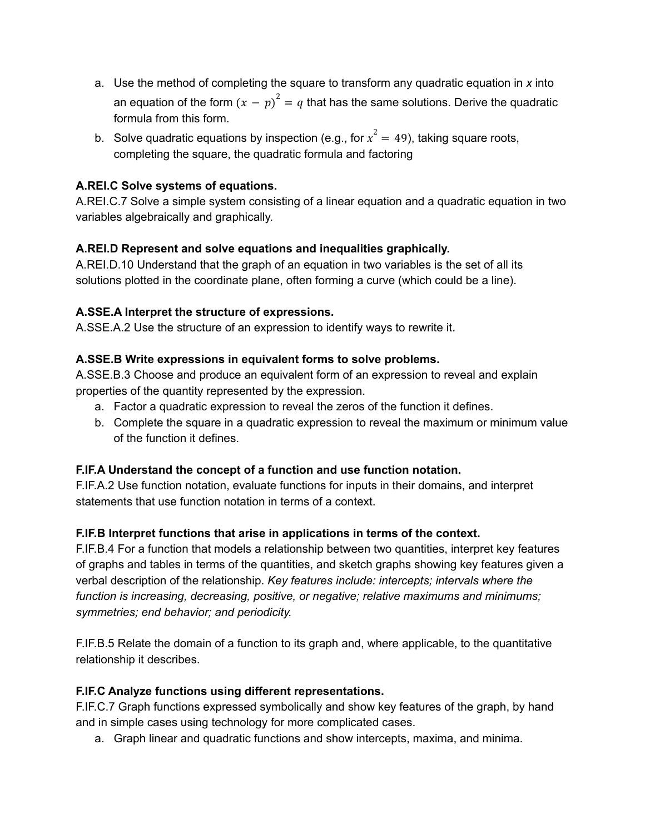- a. Use the method of completing the square to transform any quadratic equation in *x* into an equation of the form  $(x - p)^2 = q$  that has the same solutions. Derive the quadratic formula from this form.
- b. Solve quadratic equations by inspection (e.g., for  $x^2 = 49$ ), taking square roots, completing the square, the quadratic formula and factoring

## **A.REI.C Solve systems of equations.**

A.REI.C.7 Solve a simple system consisting of a linear equation and a quadratic equation in two variables algebraically and graphically.

## **A.REI.D Represent and solve equations and inequalities graphically.**

A.REI.D.10 Understand that the graph of an equation in two variables is the set of all its solutions plotted in the coordinate plane, often forming a curve (which could be a line).

## **A.SSE.A Interpret the structure of expressions.**

A.SSE.A.2 Use the structure of an expression to identify ways to rewrite it.

## **A.SSE.B Write expressions in equivalent forms to solve problems.**

A.SSE.B.3 Choose and produce an equivalent form of an expression to reveal and explain properties of the quantity represented by the expression.

- a. Factor a quadratic expression to reveal the zeros of the function it defines.
- b. Complete the square in a quadratic expression to reveal the maximum or minimum value of the function it defines.

### **F.IF.A Understand the concept of a function and use function notation.**

F.IF.A.2 Use function notation, evaluate functions for inputs in their domains, and interpret statements that use function notation in terms of a context.

### **F.IF.B Interpret functions that arise in applications in terms of the context.**

F.IF.B.4 For a function that models a relationship between two quantities, interpret key features of graphs and tables in terms of the quantities, and sketch graphs showing key features given a verbal description of the relationship. *Key features include: intercepts; intervals where the function is increasing, decreasing, positive, or negative; relative maximums and minimums; symmetries; end behavior; and periodicity.*

F.IF.B.5 Relate the domain of a function to its graph and, where applicable, to the quantitative relationship it describes.

### **F.IF.C Analyze functions using different representations.**

F.IF.C.7 Graph functions expressed symbolically and show key features of the graph, by hand and in simple cases using technology for more complicated cases.

a. Graph linear and quadratic functions and show intercepts, maxima, and minima.